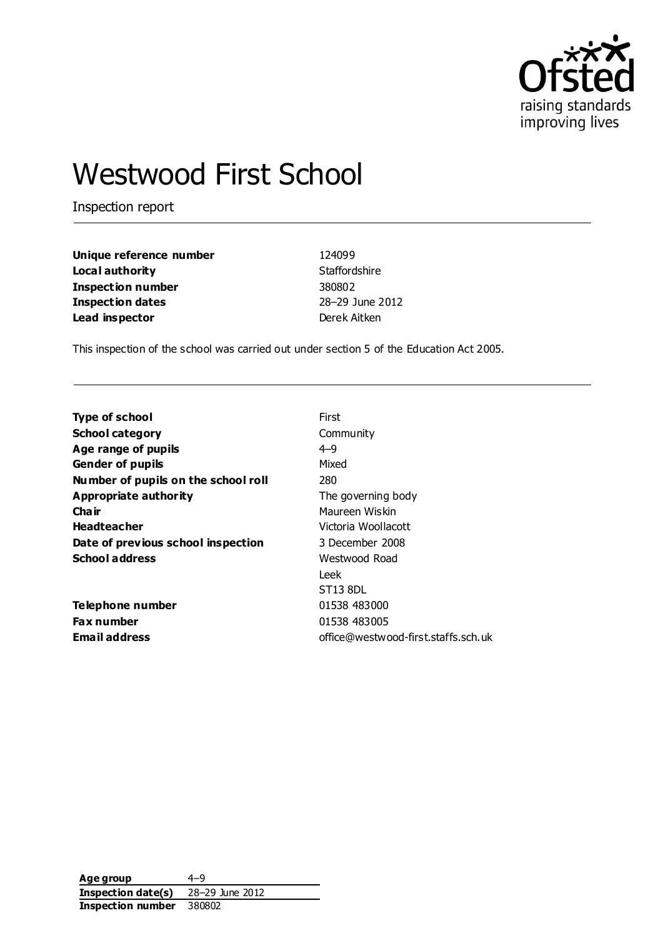

# Westwood First School

Inspection report

| Unique reference number  | 124099          |
|--------------------------|-----------------|
| Local authority          | Staffordshire   |
| <b>Inspection number</b> | 380802          |
| <b>Inspection dates</b>  | 28-29 June 2012 |
| Lead inspector           | Derek Aitken    |

This inspection of the school was carried out under section 5 of the Education Act 2005.

| <b>Type of school</b>               | First                               |
|-------------------------------------|-------------------------------------|
| <b>School category</b>              | Community                           |
| Age range of pupils                 | $4 - 9$                             |
| <b>Gender of pupils</b>             | Mixed                               |
| Number of pupils on the school roll | 280                                 |
| Appropriate authority               | The governing body                  |
| Cha ir                              | Maureen Wiskin                      |
| <b>Headteacher</b>                  | Victoria Woollacott                 |
| Date of previous school inspection  | 3 December 2008                     |
| <b>School address</b>               | Westwood Road                       |
|                                     | Leek.                               |
|                                     | ST13 8DL                            |
| Telephone number                    | 01538 483000                        |
| <b>Fax number</b>                   | 01538 483005                        |
| <b>Email address</b>                | office@westwood-first.staffs.sch.uk |

**Age group** 4–9 **Inspection date(s)** 28–29 June 2012 **Inspection number** 380802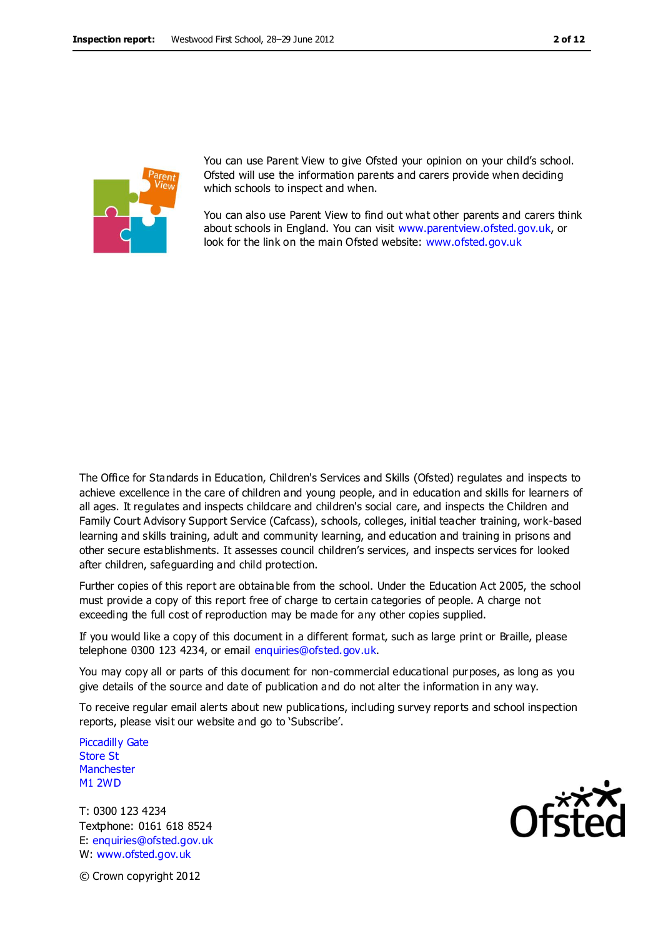

You can use Parent View to give Ofsted your opinion on your child's school. Ofsted will use the information parents and carers provide when deciding which schools to inspect and when.

You can also use Parent View to find out what other parents and carers think about schools in England. You can visit [www.parentview.ofsted.gov.uk,](http://www.parentview.ofsted.gov.uk/) or look for the link on the main Ofsted website: [www.ofsted.gov.uk](http://www.ofsted.gov.uk/)

The Office for Standards in Education, Children's Services and Skills (Ofsted) regulates and inspects to achieve excellence in the care of children and young people, and in education and skills for learners of all ages. It regulates and inspects childcare and children's social care, and inspects the Children and Family Court Advisory Support Service (Cafcass), schools, colleges, initial teacher training, work-based learning and skills training, adult and community learning, and education and training in prisons and other secure establishments. It assesses council children's services, and inspects services for looked after children, safeguarding and child protection.

Further copies of this report are obtainable from the school. Under the Education Act 2005, the school must provide a copy of this report free of charge to certain categories of people. A charge not exceeding the full cost of reproduction may be made for any other copies supplied.

If you would like a copy of this document in a different format, such as large print or Braille, please telephone 0300 123 4234, or email enquiries@ofsted.gov.uk.

You may copy all or parts of this document for non-commercial educational purposes, as long as you give details of the source and date of publication and do not alter the information in any way.

To receive regular email alerts about new publications, including survey reports and school inspection reports, please visit our website and go to 'Subscribe'.

Piccadilly Gate Store St **Manchester** M1 2WD

T: 0300 123 4234 Textphone: 0161 618 8524 E: enquiries@ofsted.gov.uk W: www.ofsted.gov.uk



© Crown copyright 2012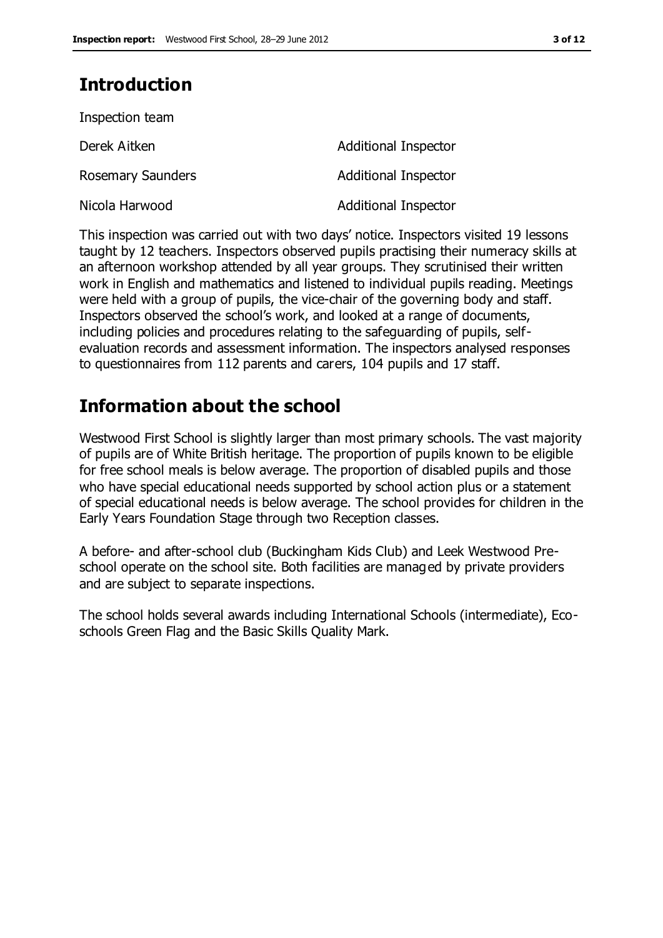# **Introduction**

| Inspection team          |                             |
|--------------------------|-----------------------------|
| Derek Aitken             | <b>Additional Inspector</b> |
| <b>Rosemary Saunders</b> | <b>Additional Inspector</b> |
| Nicola Harwood           | <b>Additional Inspector</b> |

This inspection was carried out with two days' notice. Inspectors visited 19 lessons taught by 12 teachers. Inspectors observed pupils practising their numeracy skills at an afternoon workshop attended by all year groups. They scrutinised their written work in English and mathematics and listened to individual pupils reading. Meetings were held with a group of pupils, the vice-chair of the governing body and staff. Inspectors observed the school's work, and looked at a range of documents, including policies and procedures relating to the safeguarding of pupils, selfevaluation records and assessment information. The inspectors analysed responses to questionnaires from 112 parents and carers, 104 pupils and 17 staff.

# **Information about the school**

Westwood First School is slightly larger than most primary schools. The vast majority of pupils are of White British heritage. The proportion of pupils known to be eligible for free school meals is below average. The proportion of disabled pupils and those who have special educational needs supported by school action plus or a statement of special educational needs is below average. The school provides for children in the Early Years Foundation Stage through two Reception classes.

A before- and after-school club (Buckingham Kids Club) and Leek Westwood Preschool operate on the school site. Both facilities are managed by private providers and are subject to separate inspections.

The school holds several awards including International Schools (intermediate), Ecoschools Green Flag and the Basic Skills Quality Mark.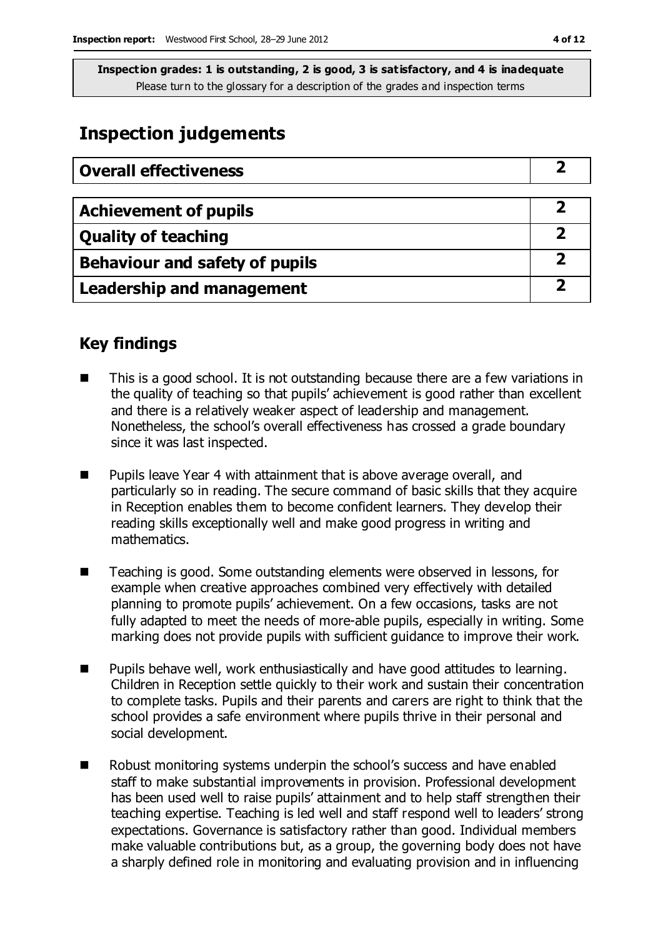## **Inspection judgements**

| <b>Overall effectiveness</b>     |  |
|----------------------------------|--|
|                                  |  |
| <b>Achievement of pupils</b>     |  |
| <b>Quality of teaching</b>       |  |
| Behaviour and safety of pupils   |  |
| <b>Leadership and management</b> |  |

#### **Key findings**

- This is a good school. It is not outstanding because there are a few variations in the quality of teaching so that pupils' achievement is good rather than excellent and there is a relatively weaker aspect of leadership and management. Nonetheless, the school's overall effectiveness has crossed a grade boundary since it was last inspected.
- Pupils leave Year 4 with attainment that is above average overall, and particularly so in reading. The secure command of basic skills that they acquire in Reception enables them to become confident learners. They develop their reading skills exceptionally well and make good progress in writing and mathematics.
- Teaching is good. Some outstanding elements were observed in lessons, for example when creative approaches combined very effectively with detailed planning to promote pupils' achievement. On a few occasions, tasks are not fully adapted to meet the needs of more-able pupils, especially in writing. Some marking does not provide pupils with sufficient guidance to improve their work.
- Pupils behave well, work enthusiastically and have good attitudes to learning. Children in Reception settle quickly to their work and sustain their concentration to complete tasks. Pupils and their parents and carers are right to think that the school provides a safe environment where pupils thrive in their personal and social development.
- Robust monitoring systems underpin the school's success and have enabled staff to make substantial improvements in provision. Professional development has been used well to raise pupils' attainment and to help staff strengthen their teaching expertise. Teaching is led well and staff respond well to leaders' strong expectations. Governance is satisfactory rather than good. Individual members make valuable contributions but, as a group, the governing body does not have a sharply defined role in monitoring and evaluating provision and in influencing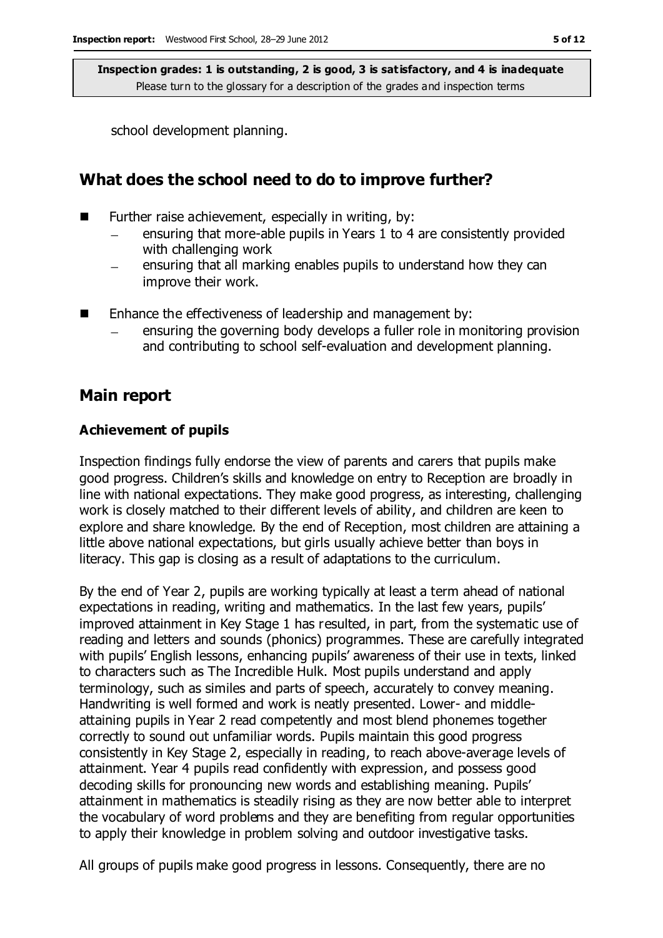school development planning.

### **What does the school need to do to improve further?**

- $\blacksquare$  Further raise achievement, especially in writing, by:
	- ensuring that more-able pupils in Years 1 to 4 are consistently provided with challenging work
	- ensuring that all marking enables pupils to understand how they can improve their work.
- Enhance the effectiveness of leadership and management by:
	- ensuring the governing body develops a fuller role in monitoring provision and contributing to school self-evaluation and development planning.

#### **Main report**

#### **Achievement of pupils**

Inspection findings fully endorse the view of parents and carers that pupils make good progress. Children's skills and knowledge on entry to Reception are broadly in line with national expectations. They make good progress, as interesting, challenging work is closely matched to their different levels of ability, and children are keen to explore and share knowledge. By the end of Reception, most children are attaining a little above national expectations, but girls usually achieve better than boys in literacy. This gap is closing as a result of adaptations to the curriculum.

By the end of Year 2, pupils are working typically at least a term ahead of national expectations in reading, writing and mathematics. In the last few years, pupils' improved attainment in Key Stage 1 has resulted, in part, from the systematic use of reading and letters and sounds (phonics) programmes. These are carefully integrated with pupils' English lessons, enhancing pupils' awareness of their use in texts, linked to characters such as The Incredible Hulk. Most pupils understand and apply terminology, such as similes and parts of speech, accurately to convey meaning. Handwriting is well formed and work is neatly presented. Lower- and middleattaining pupils in Year 2 read competently and most blend phonemes together correctly to sound out unfamiliar words. Pupils maintain this good progress consistently in Key Stage 2, especially in reading, to reach above-average levels of attainment. Year 4 pupils read confidently with expression, and possess good decoding skills for pronouncing new words and establishing meaning. Pupils' attainment in mathematics is steadily rising as they are now better able to interpret the vocabulary of word problems and they are benefiting from regular opportunities to apply their knowledge in problem solving and outdoor investigative tasks.

All groups of pupils make good progress in lessons. Consequently, there are no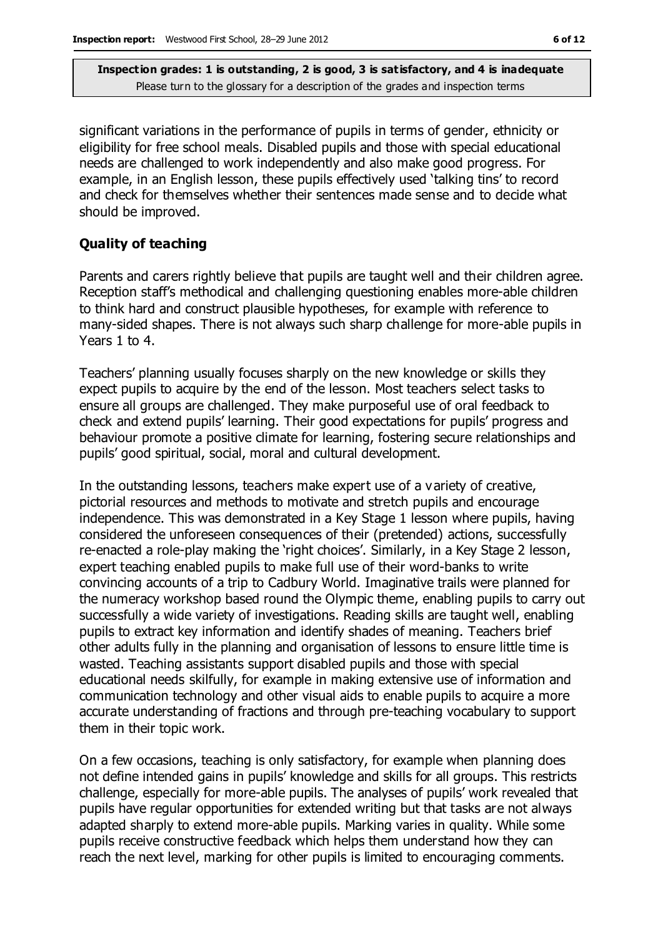significant variations in the performance of pupils in terms of gender, ethnicity or eligibility for free school meals. Disabled pupils and those with special educational needs are challenged to work independently and also make good progress. For example, in an English lesson, these pupils effectively used 'talking tins' to record and check for themselves whether their sentences made sense and to decide what should be improved.

#### **Quality of teaching**

Parents and carers rightly believe that pupils are taught well and their children agree. Reception staff's methodical and challenging questioning enables more-able children to think hard and construct plausible hypotheses, for example with reference to many-sided shapes. There is not always such sharp challenge for more-able pupils in Years 1 to 4.

Teachers' planning usually focuses sharply on the new knowledge or skills they expect pupils to acquire by the end of the lesson. Most teachers select tasks to ensure all groups are challenged. They make purposeful use of oral feedback to check and extend pupils' learning. Their good expectations for pupils' progress and behaviour promote a positive climate for learning, fostering secure relationships and pupils' good spiritual, social, moral and cultural development.

In the outstanding lessons, teachers make expert use of a variety of creative, pictorial resources and methods to motivate and stretch pupils and encourage independence. This was demonstrated in a Key Stage 1 lesson where pupils, having considered the unforeseen consequences of their (pretended) actions, successfully re-enacted a role-play making the 'right choices'. Similarly, in a Key Stage 2 lesson, expert teaching enabled pupils to make full use of their word-banks to write convincing accounts of a trip to Cadbury World. Imaginative trails were planned for the numeracy workshop based round the Olympic theme, enabling pupils to carry out successfully a wide variety of investigations. Reading skills are taught well, enabling pupils to extract key information and identify shades of meaning. Teachers brief other adults fully in the planning and organisation of lessons to ensure little time is wasted. Teaching assistants support disabled pupils and those with special educational needs skilfully, for example in making extensive use of information and communication technology and other visual aids to enable pupils to acquire a more accurate understanding of fractions and through pre-teaching vocabulary to support them in their topic work.

On a few occasions, teaching is only satisfactory, for example when planning does not define intended gains in pupils' knowledge and skills for all groups. This restricts challenge, especially for more-able pupils. The analyses of pupils' work revealed that pupils have regular opportunities for extended writing but that tasks are not always adapted sharply to extend more-able pupils. Marking varies in quality. While some pupils receive constructive feedback which helps them understand how they can reach the next level, marking for other pupils is limited to encouraging comments.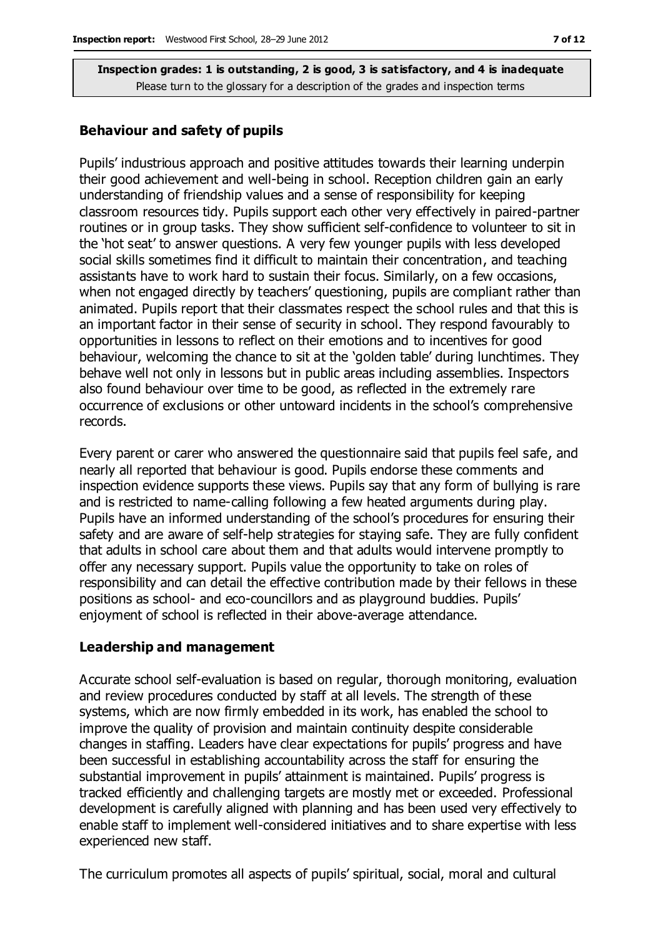#### **Behaviour and safety of pupils**

Pupils' industrious approach and positive attitudes towards their learning underpin their good achievement and well-being in school. Reception children gain an early understanding of friendship values and a sense of responsibility for keeping classroom resources tidy. Pupils support each other very effectively in paired-partner routines or in group tasks. They show sufficient self-confidence to volunteer to sit in the 'hot seat' to answer questions. A very few younger pupils with less developed social skills sometimes find it difficult to maintain their concentration, and teaching assistants have to work hard to sustain their focus. Similarly, on a few occasions, when not engaged directly by teachers' questioning, pupils are compliant rather than animated. Pupils report that their classmates respect the school rules and that this is an important factor in their sense of security in school. They respond favourably to opportunities in lessons to reflect on their emotions and to incentives for good behaviour, welcoming the chance to sit at the 'golden table' during lunchtimes. They behave well not only in lessons but in public areas including assemblies. Inspectors also found behaviour over time to be good, as reflected in the extremely rare occurrence of exclusions or other untoward incidents in the school's comprehensive records.

Every parent or carer who answered the questionnaire said that pupils feel safe, and nearly all reported that behaviour is good. Pupils endorse these comments and inspection evidence supports these views. Pupils say that any form of bullying is rare and is restricted to name-calling following a few heated arguments during play. Pupils have an informed understanding of the school's procedures for ensuring their safety and are aware of self-help strategies for staying safe. They are fully confident that adults in school care about them and that adults would intervene promptly to offer any necessary support. Pupils value the opportunity to take on roles of responsibility and can detail the effective contribution made by their fellows in these positions as school- and eco-councillors and as playground buddies. Pupils' enjoyment of school is reflected in their above-average attendance.

#### **Leadership and management**

Accurate school self-evaluation is based on regular, thorough monitoring, evaluation and review procedures conducted by staff at all levels. The strength of these systems, which are now firmly embedded in its work, has enabled the school to improve the quality of provision and maintain continuity despite considerable changes in staffing. Leaders have clear expectations for pupils' progress and have been successful in establishing accountability across the staff for ensuring the substantial improvement in pupils' attainment is maintained. Pupils' progress is tracked efficiently and challenging targets are mostly met or exceeded. Professional development is carefully aligned with planning and has been used very effectively to enable staff to implement well-considered initiatives and to share expertise with less experienced new staff.

The curriculum promotes all aspects of pupils' spiritual, social, moral and cultural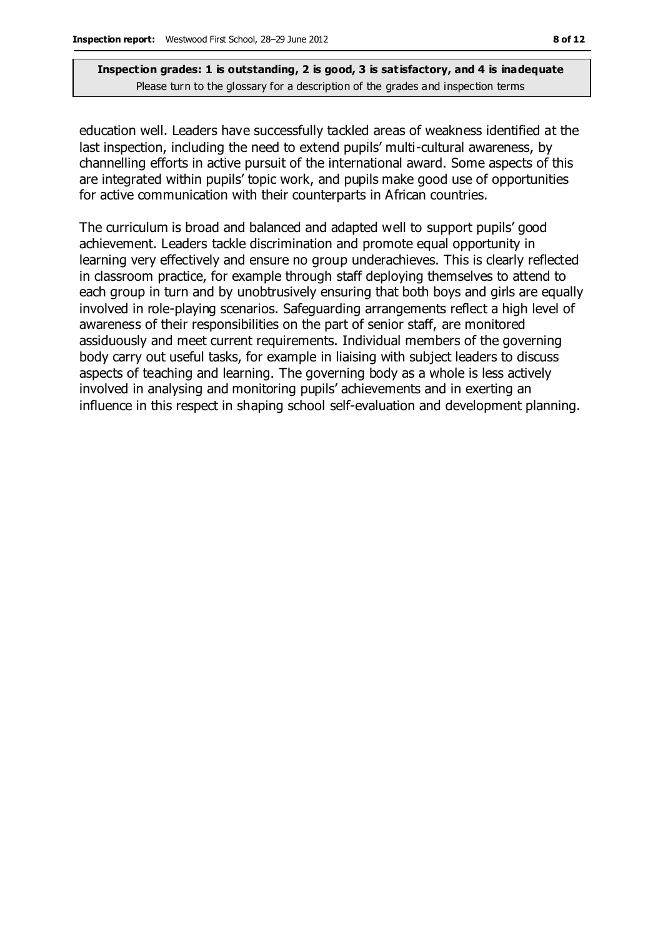education well. Leaders have successfully tackled areas of weakness identified at the last inspection, including the need to extend pupils' multi-cultural awareness, by channelling efforts in active pursuit of the international award. Some aspects of this are integrated within pupils' topic work, and pupils make good use of opportunities for active communication with their counterparts in African countries.

The curriculum is broad and balanced and adapted well to support pupils' good achievement. Leaders tackle discrimination and promote equal opportunity in learning very effectively and ensure no group underachieves. This is clearly reflected in classroom practice, for example through staff deploying themselves to attend to each group in turn and by unobtrusively ensuring that both boys and girls are equally involved in role-playing scenarios. Safeguarding arrangements reflect a high level of awareness of their responsibilities on the part of senior staff, are monitored assiduously and meet current requirements. Individual members of the governing body carry out useful tasks, for example in liaising with subject leaders to discuss aspects of teaching and learning. The governing body as a whole is less actively involved in analysing and monitoring pupils' achievements and in exerting an influence in this respect in shaping school self-evaluation and development planning.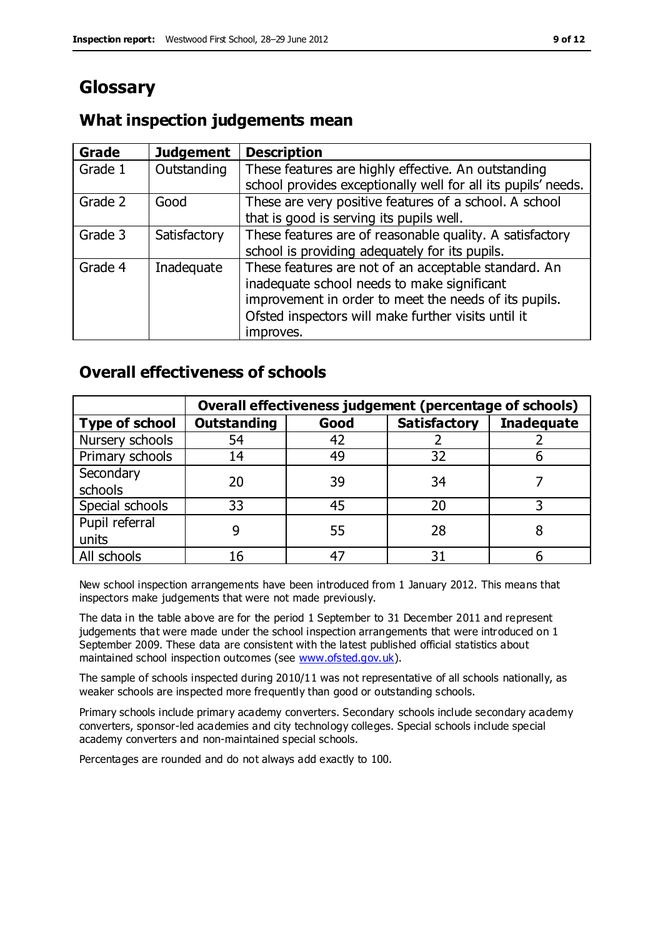# **Glossary**

### **What inspection judgements mean**

| Grade   | <b>Judgement</b> | <b>Description</b>                                            |
|---------|------------------|---------------------------------------------------------------|
| Grade 1 | Outstanding      | These features are highly effective. An outstanding           |
|         |                  | school provides exceptionally well for all its pupils' needs. |
| Grade 2 | Good             | These are very positive features of a school. A school        |
|         |                  | that is good is serving its pupils well.                      |
| Grade 3 | Satisfactory     | These features are of reasonable quality. A satisfactory      |
|         |                  | school is providing adequately for its pupils.                |
| Grade 4 | Inadequate       | These features are not of an acceptable standard. An          |
|         |                  | inadequate school needs to make significant                   |
|         |                  | improvement in order to meet the needs of its pupils.         |
|         |                  | Ofsted inspectors will make further visits until it           |
|         |                  | improves.                                                     |

#### **Overall effectiveness of schools**

|                       | Overall effectiveness judgement (percentage of schools) |      |                     |                   |
|-----------------------|---------------------------------------------------------|------|---------------------|-------------------|
| <b>Type of school</b> | <b>Outstanding</b>                                      | Good | <b>Satisfactory</b> | <b>Inadequate</b> |
| Nursery schools       | 54                                                      | 42   |                     |                   |
| Primary schools       | 14                                                      | 49   | 32                  |                   |
| Secondary             | 20                                                      | 39   | 34                  |                   |
| schools               |                                                         |      |                     |                   |
| Special schools       | 33                                                      | 45   | 20                  |                   |
| Pupil referral        |                                                         | 55   | 28                  |                   |
| units                 |                                                         |      |                     |                   |
| All schools           | 16                                                      | 47   | 31                  |                   |

New school inspection arrangements have been introduced from 1 January 2012. This means that inspectors make judgements that were not made previously.

The data in the table above are for the period 1 September to 31 December 2011 and represent judgements that were made under the school inspection arrangements that were introduced on 1 September 2009. These data are consistent with the latest published official statistics about maintained school inspection outcomes (see [www.ofsted.gov.uk\)](http://www.ofsted.gov.uk/).

The sample of schools inspected during 2010/11 was not representative of all schools nationally, as weaker schools are inspected more frequently than good or outstanding schools.

Primary schools include primary academy converters. Secondary schools include secondary academy converters, sponsor-led academies and city technology colleges. Special schools include special academy converters and non-maintained special schools.

Percentages are rounded and do not always add exactly to 100.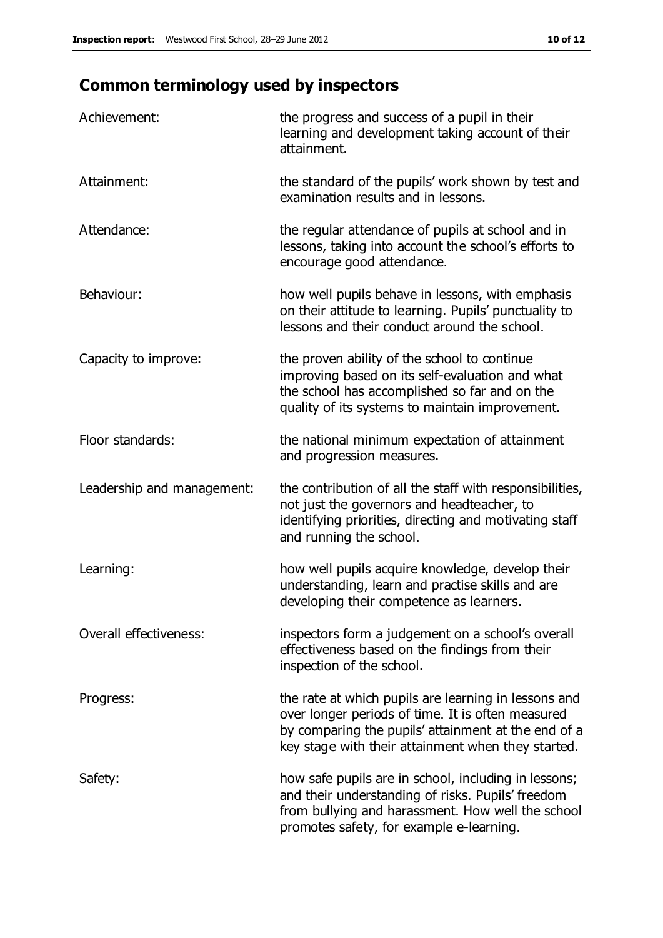# **Common terminology used by inspectors**

| Achievement:                  | the progress and success of a pupil in their<br>learning and development taking account of their<br>attainment.                                                                                                        |
|-------------------------------|------------------------------------------------------------------------------------------------------------------------------------------------------------------------------------------------------------------------|
| Attainment:                   | the standard of the pupils' work shown by test and<br>examination results and in lessons.                                                                                                                              |
| Attendance:                   | the regular attendance of pupils at school and in<br>lessons, taking into account the school's efforts to<br>encourage good attendance.                                                                                |
| Behaviour:                    | how well pupils behave in lessons, with emphasis<br>on their attitude to learning. Pupils' punctuality to<br>lessons and their conduct around the school.                                                              |
| Capacity to improve:          | the proven ability of the school to continue<br>improving based on its self-evaluation and what<br>the school has accomplished so far and on the<br>quality of its systems to maintain improvement.                    |
| Floor standards:              | the national minimum expectation of attainment<br>and progression measures.                                                                                                                                            |
| Leadership and management:    | the contribution of all the staff with responsibilities,<br>not just the governors and headteacher, to<br>identifying priorities, directing and motivating staff<br>and running the school.                            |
| Learning:                     | how well pupils acquire knowledge, develop their<br>understanding, learn and practise skills and are<br>developing their competence as learners.                                                                       |
| <b>Overall effectiveness:</b> | inspectors form a judgement on a school's overall<br>effectiveness based on the findings from their<br>inspection of the school.                                                                                       |
| Progress:                     | the rate at which pupils are learning in lessons and<br>over longer periods of time. It is often measured<br>by comparing the pupils' attainment at the end of a<br>key stage with their attainment when they started. |
| Safety:                       | how safe pupils are in school, including in lessons;<br>and their understanding of risks. Pupils' freedom<br>from bullying and harassment. How well the school<br>promotes safety, for example e-learning.             |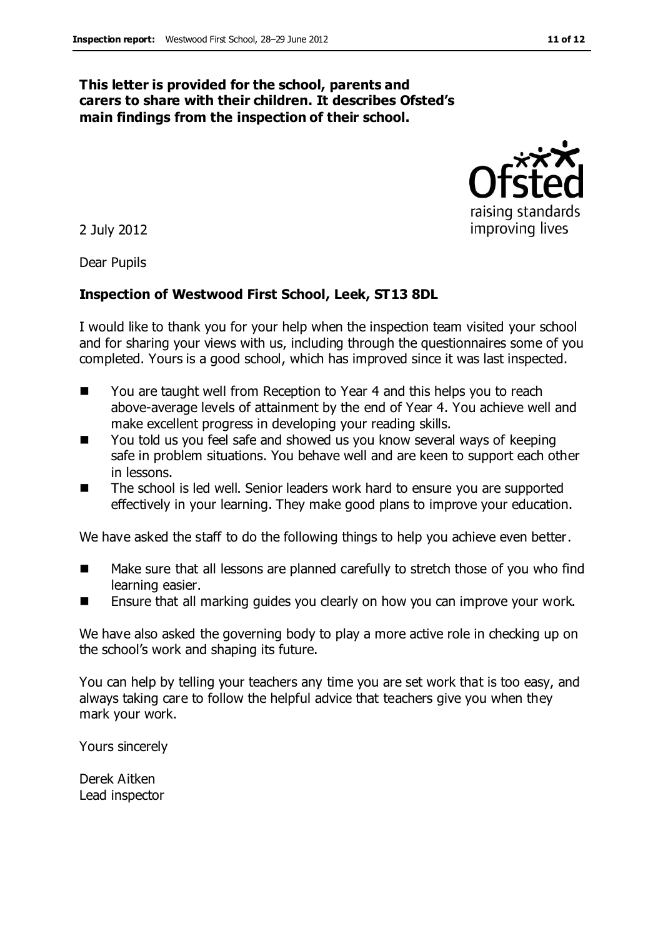#### **This letter is provided for the school, parents and carers to share with their children. It describes Ofsted's main findings from the inspection of their school.**

2 July 2012

Dear Pupils

#### **Inspection of Westwood First School, Leek, ST13 8DL**

I would like to thank you for your help when the inspection team visited your school and for sharing your views with us, including through the questionnaires some of you completed. Yours is a good school, which has improved since it was last inspected.

- You are taught well from Reception to Year 4 and this helps you to reach above-average levels of attainment by the end of Year 4. You achieve well and make excellent progress in developing your reading skills.
- You told us you feel safe and showed us you know several ways of keeping safe in problem situations. You behave well and are keen to support each other in lessons.
- The school is led well. Senior leaders work hard to ensure you are supported effectively in your learning. They make good plans to improve your education.

We have asked the staff to do the following things to help you achieve even better.

- Make sure that all lessons are planned carefully to stretch those of you who find learning easier.
- Ensure that all marking guides you clearly on how you can improve your work.

We have also asked the governing body to play a more active role in checking up on the school's work and shaping its future.

You can help by telling your teachers any time you are set work that is too easy, and always taking care to follow the helpful advice that teachers give you when they mark your work.

Yours sincerely

Derek Aitken Lead inspector